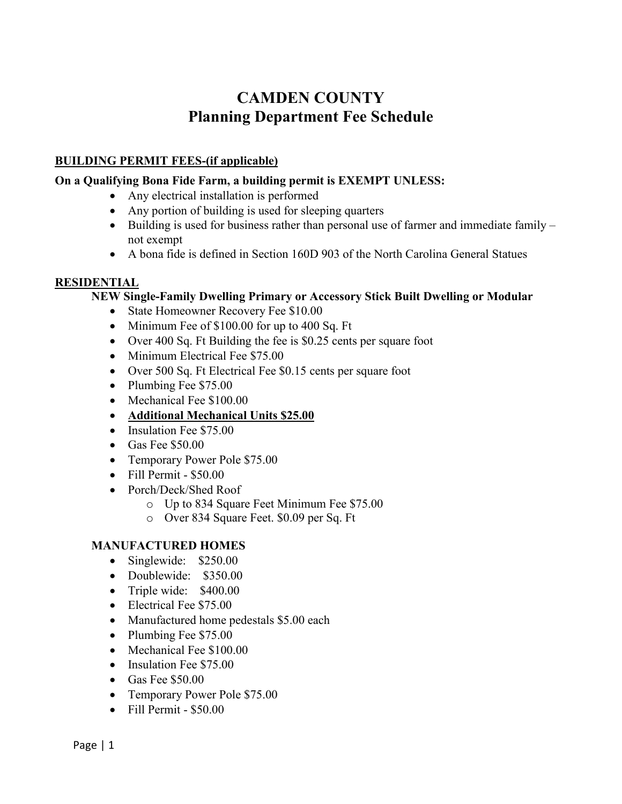# **CAMDEN COUNTY Planning Department Fee Schedule**

# **BUILDING PERMIT FEES-(if applicable)**

#### **On a Qualifying Bona Fide Farm, a building permit is EXEMPT UNLESS:**

- Any electrical installation is performed
- Any portion of building is used for sleeping quarters
- Building is used for business rather than personal use of farmer and immediate family not exempt
- A bona fide is defined in Section 160D 903 of the North Carolina General Statues

# **RESIDENTIAL**

#### **NEW Single-Family Dwelling Primary or Accessory Stick Built Dwelling or Modular**

- State Homeowner Recovery Fee \$10.00
- Minimum Fee of \$100.00 for up to 400 Sq. Ft
- Over 400 Sq. Ft Building the fee is \$0.25 cents per square foot
- Minimum Electrical Fee \$75.00
- Over 500 Sq. Ft Electrical Fee \$0.15 cents per square foot
- Plumbing Fee \$75.00
- Mechanical Fee \$100.00
- **Additional Mechanical Units \$25.00**
- Insulation Fee \$75.00
- Gas Fee \$50.00
- Temporary Power Pole \$75.00
- Fill Permit \$50.00
- Porch/Deck/Shed Roof
	- o Up to 834 Square Feet Minimum Fee \$75.00
	- o Over 834 Square Feet. \$0.09 per Sq. Ft

# **MANUFACTURED HOMES**

- Singlewide: \$250.00
- Doublewide: \$350.00
- Triple wide: \$400.00
- Electrical Fee \$75.00
- Manufactured home pedestals \$5.00 each
- Plumbing Fee \$75.00
- Mechanical Fee \$100.00
- Insulation Fee \$75.00
- Gas Fee \$50.00
- Temporary Power Pole \$75.00
- Fill Permit \$50.00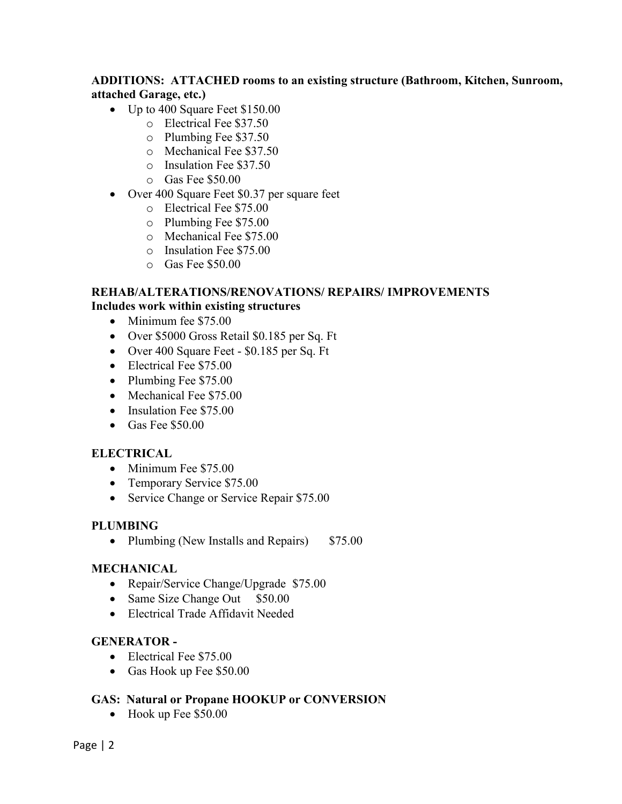# **ADDITIONS: ATTACHED rooms to an existing structure (Bathroom, Kitchen, Sunroom, attached Garage, etc.)**

- Up to 400 Square Feet \$150.00
	- o Electrical Fee \$37.50
	- o Plumbing Fee \$37.50
	- o Mechanical Fee \$37.50
	- o Insulation Fee \$37.50
	- o Gas Fee \$50.00
- Over 400 Square Feet \$0.37 per square feet
	- o Electrical Fee \$75.00
	- o Plumbing Fee \$75.00
	- o Mechanical Fee \$75.00
	- o Insulation Fee \$75.00
	- o Gas Fee \$50.00

# **REHAB/ALTERATIONS/RENOVATIONS/ REPAIRS/ IMPROVEMENTS Includes work within existing structures**

- Minimum fee \$75.00
- Over \$5000 Gross Retail \$0.185 per Sq. Ft
- Over 400 Square Feet \$0.185 per Sq. Ft
- Electrical Fee \$75.00
- Plumbing Fee \$75.00
- Mechanical Fee \$75.00
- Insulation Fee \$75.00
- Gas Fee \$50.00

# **ELECTRICAL**

- Minimum Fee \$75.00
- Temporary Service \$75.00
- Service Change or Service Repair \$75.00

# **PLUMBING**

• Plumbing (New Installs and Repairs) \$75.00

# **MECHANICAL**

- Repair/Service Change/Upgrade \$75.00
- Same Size Change Out \$50.00
- Electrical Trade Affidavit Needed

# **GENERATOR -**

- Electrical Fee \$75.00
- Gas Hook up Fee \$50.00

# **GAS: Natural or Propane HOOKUP or CONVERSION**

• Hook up Fee \$50.00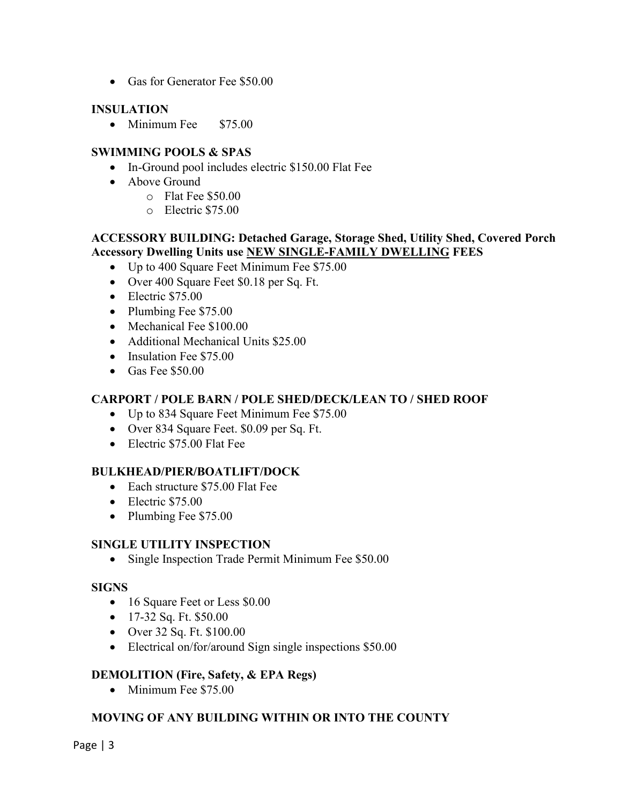• Gas for Generator Fee \$50.00

## **INSULATION**

• Minimum Fee \$75.00

## **SWIMMING POOLS & SPAS**

- In-Ground pool includes electric \$150.00 Flat Fee
- Above Ground
	- o Flat Fee \$50.00
	- o Electric \$75.00

## **ACCESSORY BUILDING: Detached Garage, Storage Shed, Utility Shed, Covered Porch Accessory Dwelling Units use NEW SINGLE-FAMILY DWELLING FEES**

- Up to 400 Square Feet Minimum Fee \$75.00
- Over 400 Square Feet \$0.18 per Sq. Ft.
- Electric \$75.00
- Plumbing Fee \$75.00
- Mechanical Fee \$100.00
- Additional Mechanical Units \$25.00
- Insulation Fee \$75.00
- Gas Fee \$50.00

#### **CARPORT / POLE BARN / POLE SHED/DECK/LEAN TO / SHED ROOF**

- Up to 834 Square Feet Minimum Fee \$75.00
- Over 834 Square Feet. \$0.09 per Sq. Ft.
- Electric \$75.00 Flat Fee

#### **BULKHEAD/PIER/BOATLIFT/DOCK**

- Each structure \$75.00 Flat Fee
- Electric \$75.00
- Plumbing Fee \$75.00

#### **SINGLE UTILITY INSPECTION**

• Single Inspection Trade Permit Minimum Fee \$50.00

#### **SIGNS**

- 16 Square Feet or Less \$0.00
- 17-32 Sq. Ft. \$50.00
- Over 32 Sq. Ft. \$100.00
- Electrical on/for/around Sign single inspections \$50.00

# **DEMOLITION (Fire, Safety, & EPA Regs)**

• Minimum Fee \$75.00

# **MOVING OF ANY BUILDING WITHIN OR INTO THE COUNTY**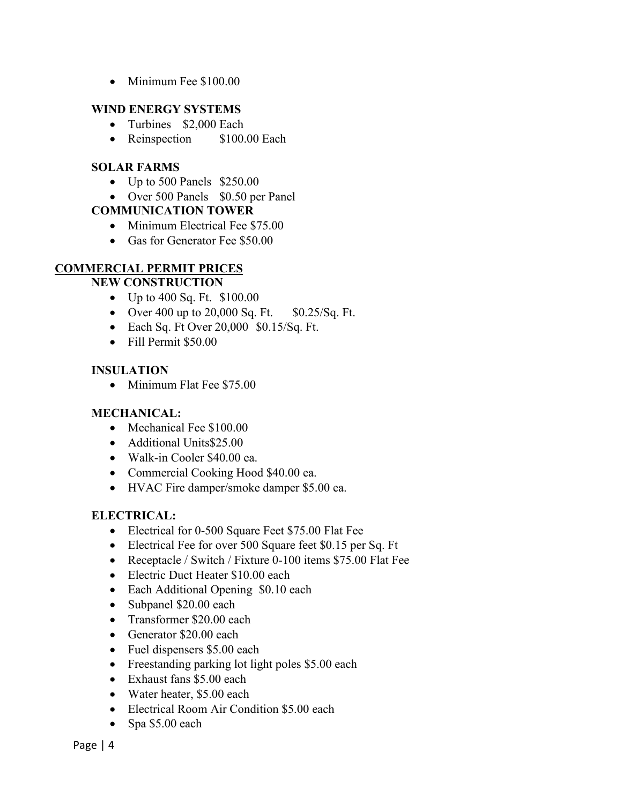• Minimum Fee \$100.00

# **WIND ENERGY SYSTEMS**

- Turbines \$2,000 Each
- Reinspection \$100.00 Each

# **SOLAR FARMS**

- Up to 500 Panels \$250.00
- Over 500 Panels \$0.50 per Panel

# **COMMUNICATION TOWER**

- Minimum Electrical Fee \$75.00
- Gas for Generator Fee \$50.00

# **COMMERCIAL PERMIT PRICES**

# **NEW CONSTRUCTION**

- Up to 400 Sq. Ft. \$100.00
- Over 400 up to  $20,000$  Sq. Ft.  $$0.25/Sq$ . Ft.
- Each Sq. Ft Over 20,000 \$0.15/Sq. Ft.
- Fill Permit \$50.00

# **INSULATION**

• Minimum Flat Fee \$75.00

# **MECHANICAL:**

- Mechanical Fee \$100.00
- Additional Units\$25.00
- Walk-in Cooler \$40.00 ea.
- Commercial Cooking Hood \$40.00 ea.
- HVAC Fire damper/smoke damper \$5.00 ea.

# **ELECTRICAL:**

- Electrical for 0-500 Square Feet \$75.00 Flat Fee
- Electrical Fee for over 500 Square feet \$0.15 per Sq. Ft
- Receptacle / Switch / Fixture 0-100 items \$75.00 Flat Fee
- Electric Duct Heater \$10.00 each
- Each Additional Opening \$0.10 each
- Subpanel \$20.00 each
- Transformer \$20.00 each
- Generator \$20.00 each
- Fuel dispensers \$5.00 each
- Freestanding parking lot light poles \$5.00 each
- Exhaust fans \$5.00 each
- Water heater, \$5,00 each
- Electrical Room Air Condition \$5.00 each
- Spa \$5.00 each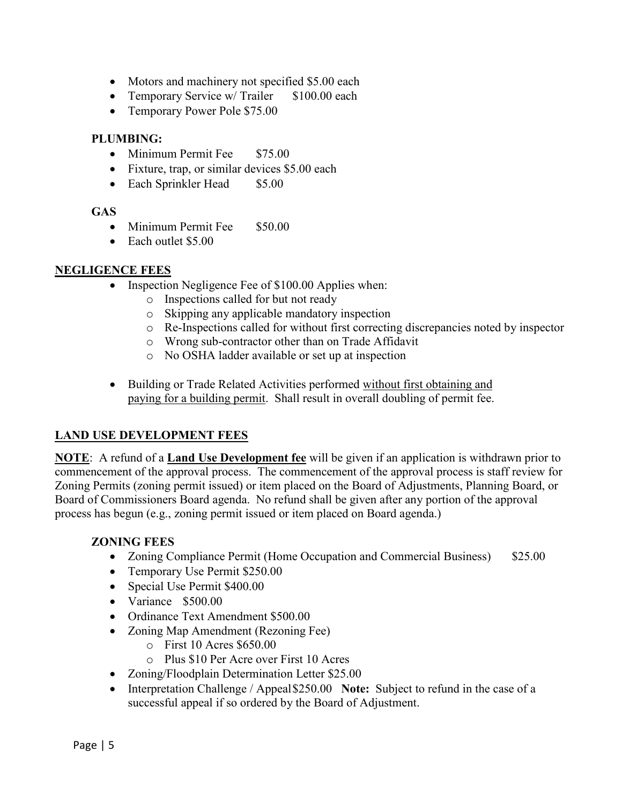- Motors and machinery not specified \$5.00 each
- Temporary Service w/ Trailer \$100.00 each
- Temporary Power Pole \$75.00

# **PLUMBING:**

- Minimum Permit Fee \$75.00
- Fixture, trap, or similar devices \$5.00 each
- Each Sprinkler Head \$5.00

# **GAS**

- Minimum Permit Fee \$50.00
- Each outlet \$5.00

# **NEGLIGENCE FEES**

- Inspection Negligence Fee of \$100.00 Applies when:
	- o Inspections called for but not ready
	- o Skipping any applicable mandatory inspection
	- o Re-Inspections called for without first correcting discrepancies noted by inspector
	- o Wrong sub-contractor other than on Trade Affidavit
	- o No OSHA ladder available or set up at inspection
- Building or Trade Related Activities performed without first obtaining and paying for a building permit. Shall result in overall doubling of permit fee.

# **LAND USE DEVELOPMENT FEES**

**NOTE**: A refund of a **Land Use Development fee** will be given if an application is withdrawn prior to commencement of the approval process. The commencement of the approval process is staff review for Zoning Permits (zoning permit issued) or item placed on the Board of Adjustments, Planning Board, or Board of Commissioners Board agenda. No refund shall be given after any portion of the approval process has begun (e.g., zoning permit issued or item placed on Board agenda.)

# **ZONING FEES**

- Zoning Compliance Permit (Home Occupation and Commercial Business) \$25.00
- Temporary Use Permit \$250.00
- Special Use Permit \$400.00
- Variance \$500.00
- Ordinance Text Amendment \$500.00
- Zoning Map Amendment (Rezoning Fee)
	- $\circ$  First 10 Acres \$650.00
	- o Plus \$10 Per Acre over First 10 Acres
- Zoning/Floodplain Determination Letter \$25.00
- Interpretation Challenge / Appeal\$250.00 **Note:** Subject to refund in the case of a successful appeal if so ordered by the Board of Adjustment.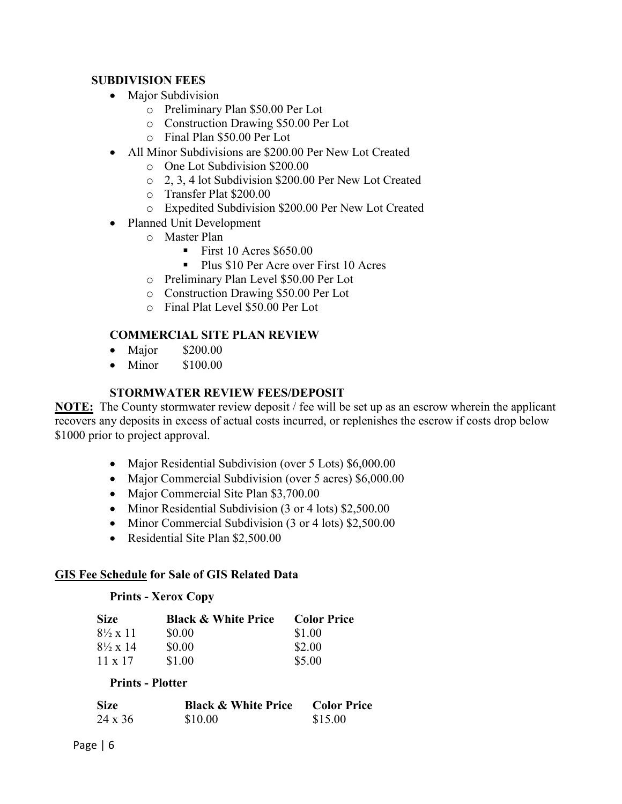## **SUBDIVISION FEES**

- Major Subdivision
	- o Preliminary Plan \$50.00 Per Lot
	- o Construction Drawing \$50.00 Per Lot
	- o Final Plan \$50.00 Per Lot
- All Minor Subdivisions are \$200.00 Per New Lot Created
	- o One Lot Subdivision \$200.00
	- o 2, 3, 4 lot Subdivision \$200.00 Per New Lot Created
	- o Transfer Plat \$200.00
	- o Expedited Subdivision \$200.00 Per New Lot Created
- Planned Unit Development
	- o Master Plan
		- First 10 Acres  $$650.00$
		- Plus \$10 Per Acre over First 10 Acres
	- o Preliminary Plan Level \$50.00 Per Lot
	- o Construction Drawing \$50.00 Per Lot
	- o Final Plat Level \$50.00 Per Lot

# **COMMERCIAL SITE PLAN REVIEW**

- Major \$200.00
- Minor \$100.00

#### **STORMWATER REVIEW FEES/DEPOSIT**

**NOTE:** The County stormwater review deposit / fee will be set up as an escrow wherein the applicant recovers any deposits in excess of actual costs incurred, or replenishes the escrow if costs drop below \$1000 prior to project approval.

- Major Residential Subdivision (over 5 Lots) \$6,000.00
- Major Commercial Subdivision (over 5 acres) \$6,000.00
- Major Commercial Site Plan \$3,700.00
- Minor Residential Subdivision (3 or 4 lots) \$2,500.00
- Minor Commercial Subdivision (3 or 4 lots) \$2,500.00
- Residential Site Plan \$2,500.00

#### **GIS Fee Schedule for Sale of GIS Related Data**

#### **Prints - Xerox Copy**

| <b>Size</b>              | <b>Black &amp; White Price</b> | <b>Color Price</b> |
|--------------------------|--------------------------------|--------------------|
| $8\frac{1}{2} \times 11$ | \$0.00                         | \$1.00             |
| $8\frac{1}{2} \times 14$ | \$0.00                         | \$2.00             |
| $11 \times 17$           | \$1.00                         | \$5.00             |

#### **Prints - Plotter**

| <b>Size</b> | <b>Black &amp; White Price</b> | <b>Color Price</b> |
|-------------|--------------------------------|--------------------|
| 24 x 36     | \$10.00                        | \$15.00            |